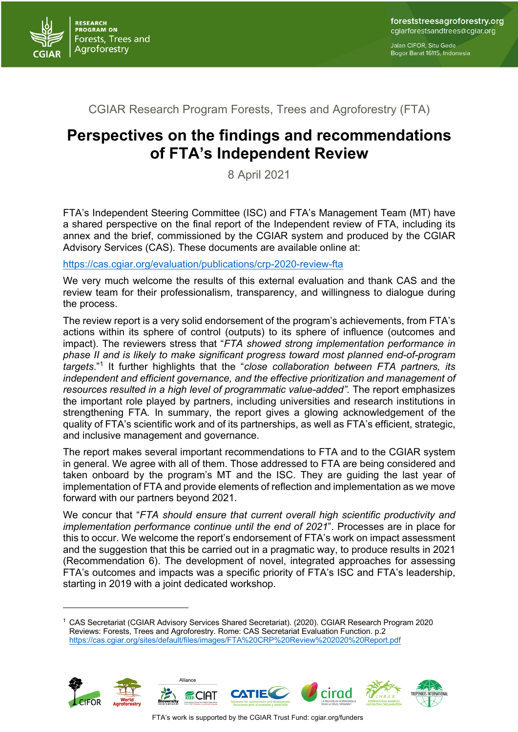

Jalan CIFOR, Situ Gede Bogor Barat 16115, Indonesia

## CGIAR Research Program Forests, Trees and Agroforestry (FTA)

## **Perspectives on the findings and recommendations of FTA's Independent Review**

8 April 2021

FTA's Independent Steering Committee (ISC) and FTA's Management Team (MT) have a shared perspective on the final report of the Independent review of FTA, including its annex and the brief, commissioned by the CGIAR system and produced by the CGIAR Advisory Services (CAS). These documents are available online at:

https://cas.cgiar.org/evaluation/publications/crp-2020-review-fta

We very much welcome the results of this external evaluation and thank CAS and the review team for their professionalism, transparency, and willingness to dialogue during the process.

The review report is a very solid endorsement of the program's achievements, from FTA's actions within its sphere of control (outputs) to its sphere of influence (outcomes and impact). The reviewers stress that "*FTA showed strong implementation performance in phase II and is likely to make significant progress toward most planned end-of-program targets*."<sup>1</sup> It further highlights that the "*close collaboration between FTA partners, its independent and efficient governance, and the effective prioritization and management of resources resulted in a high level of programmatic value-added".* The report emphasizes the important role played by partners, including universities and research institutions in strengthening FTA*.* In summary, the report gives a glowing acknowledgement of the quality of FTA's scientific work and of its partnerships, as well as FTA's efficient, strategic, and inclusive management and governance.

The report makes several important recommendations to FTA and to the CGIAR system in general. We agree with all of them. Those addressed to FTA are being considered and taken onboard by the program's MT and the ISC. They are guiding the last year of implementation of FTA and provide elements of reflection and implementation as we move forward with our partners beyond 2021.

We concur that "*FTA should ensure that current overall high scientific productivity and implementation performance continue until the end of 2021*". Processes are in place for this to occur. We welcome the report's endorsement of FTA's work on impact assessment and the suggestion that this be carried out in a pragmatic way, to produce results in 2021 (Recommendation 6). The development of novel, integrated approaches for assessing FTA's outcomes and impacts was a specific priority of FTA's ISC and FTA's leadership, starting in 2019 with a joint dedicated workshop.

<sup>1</sup> CAS Secretariat (CGIAR Advisory Services Shared Secretariat). (2020). CGIAR Research Program 2020 Reviews: Forests, Trees and Agroforestry. Rome: CAS Secretariat Evaluation Function. p.2 https://cas.cgiar.org/sites/default/files/images/FTA%20CRP%20Review%202020%20Report.pdf